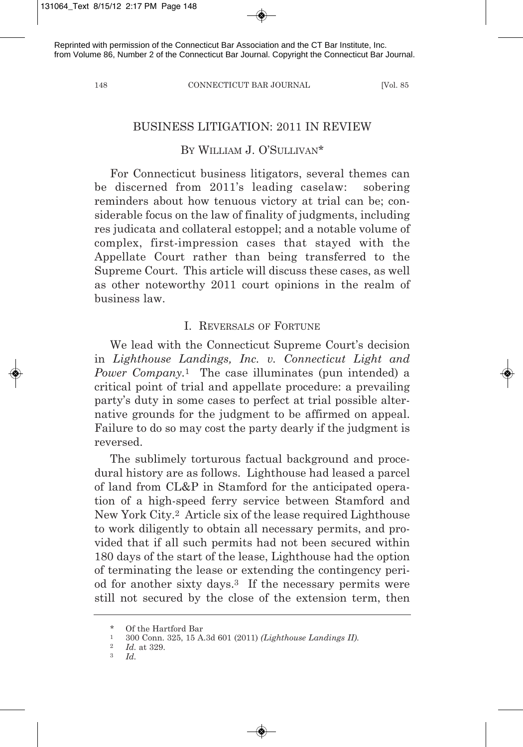148 CONNECTICUT BAR JOURNAL [Vol. 85

## BUSINESS LITIGATION: 2011 IN REVIEW

# BY WILLIAM J. O'SULLIVAN\*

For Connecticut business litigators, several themes can be discerned from 2011's leading caselaw: sobering reminders about how tenuous victory at trial can be; considerable focus on the law of finality of judgments, including res judicata and collateral estoppel; and a notable volume of complex, first-impression cases that stayed with the Appellate Court rather than being transferred to the Supreme Court. This article will discuss these cases, as well as other noteworthy 2011 court opinions in the realm of business law.

### I. REVERSALS OF FORTUNE

We lead with the Connecticut Supreme Court's decision in *Lighthouse Landings, Inc. v. Connecticut Light and Power Company.*<sup>1</sup> The case illuminates (pun intended) a critical point of trial and appellate procedure: a prevailing party's duty in some cases to perfect at trial possible alternative grounds for the judgment to be affirmed on appeal. Failure to do so may cost the party dearly if the judgment is reversed.

The sublimely torturous factual background and procedural history are as follows. Lighthouse had leased a parcel of land from CL&P in Stamford for the anticipated operation of a high-speed ferry service between Stamford and New York City.2 Article six of the lease required Lighthouse to work diligently to obtain all necessary permits, and provided that if all such permits had not been secured within 180 days of the start of the lease, Lighthouse had the option of terminating the lease or extending the contingency period for another sixty days.3 If the necessary permits were still not secured by the close of the extension term, then

<sup>\*</sup> Of the Hartford Bar

<sup>1</sup> 300 Conn. 325, 15 A.3d 601 (2011) *(Lighthouse Landings II).*

 $\frac{2}{3}$  *Id.* at 329.

<sup>3</sup> *Id.*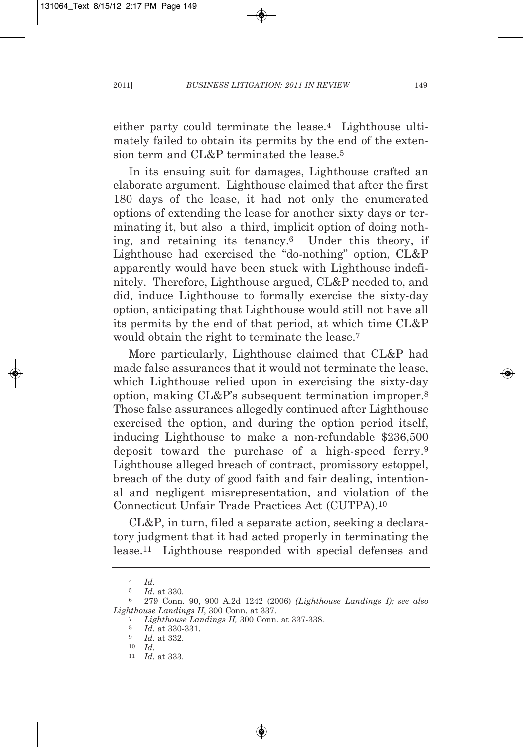either party could terminate the lease.4 Lighthouse ultimately failed to obtain its permits by the end of the extension term and CL&P terminated the lease.5

In its ensuing suit for damages, Lighthouse crafted an elaborate argument. Lighthouse claimed that after the first 180 days of the lease, it had not only the enumerated options of extending the lease for another sixty days or terminating it, but also a third, implicit option of doing nothing, and retaining its tenancy.6 Under this theory, if Lighthouse had exercised the "do-nothing" option, CL&P apparently would have been stuck with Lighthouse indefinitely. Therefore, Lighthouse argued, CL&P needed to, and did, induce Lighthouse to formally exercise the sixty-day option, anticipating that Lighthouse would still not have all its permits by the end of that period, at which time CL&P would obtain the right to terminate the lease.7

More particularly, Lighthouse claimed that CL&P had made false assurances that it would not terminate the lease, which Lighthouse relied upon in exercising the sixty-day option, making CL&P's subsequent termination improper.8 Those false assurances allegedly continued after Lighthouse exercised the option, and during the option period itself, inducing Lighthouse to make a non-refundable \$236,500 deposit toward the purchase of a high-speed ferry.9 Lighthouse alleged breach of contract, promissory estoppel, breach of the duty of good faith and fair dealing, intentional and negligent misrepresentation, and violation of the Connecticut Unfair Trade Practices Act (CUTPA).10

CL&P, in turn, filed a separate action, seeking a declaratory judgment that it had acted properly in terminating the lease.11 Lighthouse responded with special defenses and

<sup>4</sup> *Id.*

<sup>5</sup> *Id.* at 330.

<sup>6</sup> 279 Conn. 90, 900 A.2d 1242 (2006) *(Lighthouse Landings I); see also Lighthouse Landings II*, 300 Conn. at 337.

<sup>7</sup> *Lighthouse Landings II,* 300 Conn. at 337-338.

<sup>8</sup> *Id.* at 330-331.

<sup>9</sup> *Id.* at 332.

<sup>10</sup> *Id.*

<sup>11</sup> *Id.* at 333.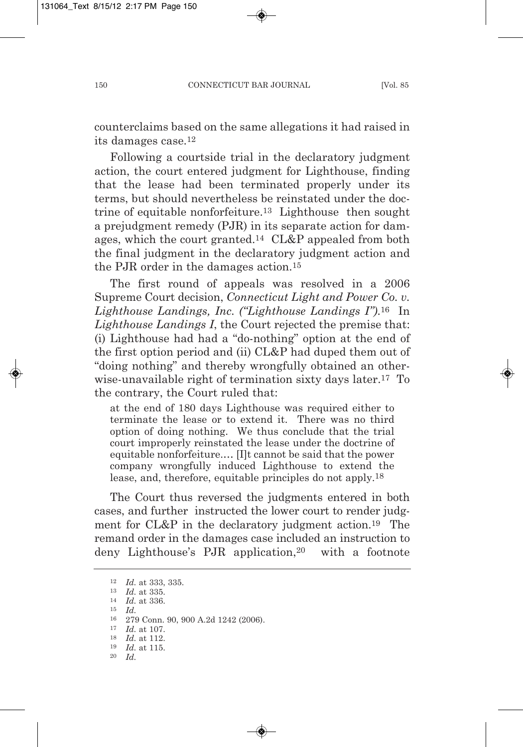counterclaims based on the same allegations it had raised in its damages case.12

Following a courtside trial in the declaratory judgment action, the court entered judgment for Lighthouse, finding that the lease had been terminated properly under its terms, but should nevertheless be reinstated under the doctrine of equitable nonforfeiture.13 Lighthouse then sought a prejudgment remedy (PJR) in its separate action for damages, which the court granted.14 CL&P appealed from both the final judgment in the declaratory judgment action and the PJR order in the damages action.15

The first round of appeals was resolved in a 2006 Supreme Court decision, *Connecticut Light and Power Co. v. Lighthouse Landings, Inc. ("Lighthouse Landings I")*.16 In *Lighthouse Landings I*, the Court rejected the premise that: (i) Lighthouse had had a "do-nothing" option at the end of the first option period and (ii) CL&P had duped them out of "doing nothing" and thereby wrongfully obtained an otherwise-unavailable right of termination sixty days later.17 To the contrary, the Court ruled that:

at the end of 180 days Lighthouse was required either to terminate the lease or to extend it. There was no third option of doing nothing. We thus conclude that the trial court improperly reinstated the lease under the doctrine of equitable nonforfeiture.… [I]t cannot be said that the power company wrongfully induced Lighthouse to extend the lease, and, therefore, equitable principles do not apply.18

The Court thus reversed the judgments entered in both cases, and further instructed the lower court to render judgment for CL&P in the declaratory judgment action.19 The remand order in the damages case included an instruction to deny Lighthouse's PJR application,<sup>20</sup> with a footnote

<sup>12</sup> *Id.* at 333, 335. <sup>13</sup> *Id.* at 335. <sup>14</sup> *Id.* at 336. 15 *Id.* 16 279 Conn. 90, 900 A.2d 1242 (2006). 17 *Id.* at 107. 18 *Id.* at 112. 19 *Id.* at 115.

<sup>20</sup> *Id.*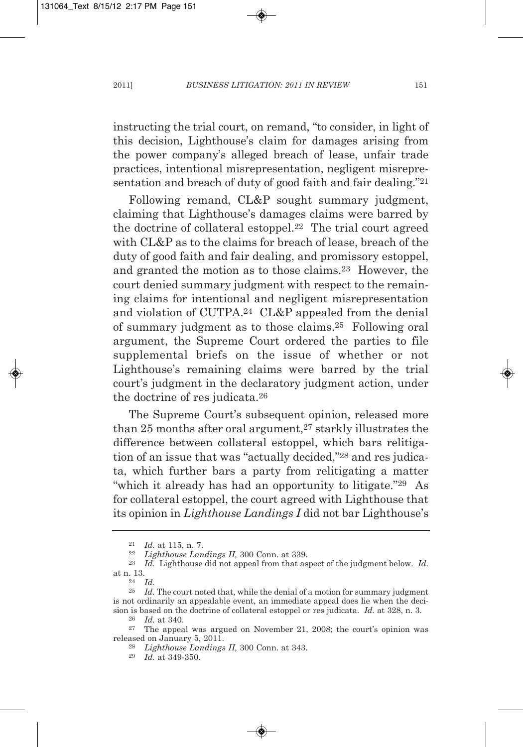instructing the trial court, on remand, "to consider, in light of this decision, Lighthouse's claim for damages arising from the power company's alleged breach of lease, unfair trade practices, intentional misrepresentation, negligent misrepresentation and breach of duty of good faith and fair dealing."21

Following remand, CL&P sought summary judgment, claiming that Lighthouse's damages claims were barred by the doctrine of collateral estoppel.22 The trial court agreed with CL&P as to the claims for breach of lease, breach of the duty of good faith and fair dealing, and promissory estoppel, and granted the motion as to those claims.23 However, the court denied summary judgment with respect to the remaining claims for intentional and negligent misrepresentation and violation of CUTPA.24 CL&P appealed from the denial of summary judgment as to those claims.25 Following oral argument, the Supreme Court ordered the parties to file supplemental briefs on the issue of whether or not Lighthouse's remaining claims were barred by the trial court's judgment in the declaratory judgment action, under the doctrine of res judicata.26

The Supreme Court's subsequent opinion, released more than  $25$  months after oral argument, $27$  starkly illustrates the difference between collateral estoppel, which bars relitigation of an issue that was "actually decided,"28 and res judicata, which further bars a party from relitigating a matter "which it already has had an opportunity to litigate."29 As for collateral estoppel, the court agreed with Lighthouse that its opinion in *Lighthouse Landings I* did not bar Lighthouse's

<sup>21</sup> *Id.* at 115, n. 7.

<sup>22</sup> *Lighthouse Landings II,* 300 Conn. at 339.

<sup>23</sup> *Id.* Lighthouse did not appeal from that aspect of the judgment below. *Id.* at n. 13.

<sup>24</sup> *Id.*

<sup>25</sup> *Id.* The court noted that, while the denial of a motion for summary judgment is not ordinarily an appealable event, an immediate appeal does lie when the decision is based on the doctrine of collateral estoppel or res judicata. *Id.* at 328, n. 3.

<sup>26</sup> *Id.* at 340.

<sup>27</sup> The appeal was argued on November 21, 2008; the court's opinion was released on January 5, 2011.

<sup>28</sup> *Lighthouse Landings II,* 300 Conn. at 343.

<sup>29</sup> *Id.* at 349-350.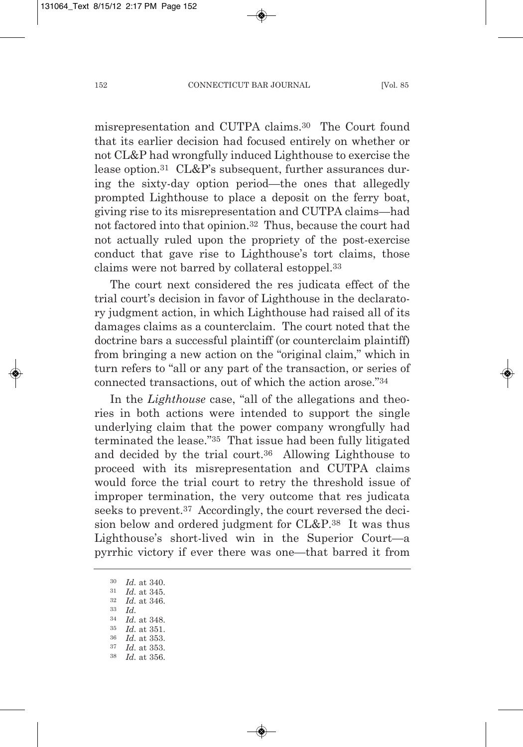misrepresentation and CUTPA claims.30 The Court found that its earlier decision had focused entirely on whether or not CL&P had wrongfully induced Lighthouse to exercise the lease option.31 CL&P's subsequent, further assurances during the sixty-day option period—the ones that allegedly prompted Lighthouse to place a deposit on the ferry boat, giving rise to its misrepresentation and CUTPA claims—had not factored into that opinion.32 Thus, because the court had not actually ruled upon the propriety of the post-exercise conduct that gave rise to Lighthouse's tort claims, those claims were not barred by collateral estoppel.33

The court next considered the res judicata effect of the trial court's decision in favor of Lighthouse in the declaratory judgment action, in which Lighthouse had raised all of its damages claims as a counterclaim. The court noted that the doctrine bars a successful plaintiff (or counterclaim plaintiff) from bringing a new action on the "original claim," which in turn refers to "all or any part of the transaction, or series of connected transactions, out of which the action arose."34

In the *Lighthouse* case, "all of the allegations and theories in both actions were intended to support the single underlying claim that the power company wrongfully had terminated the lease."35 That issue had been fully litigated and decided by the trial court.36 Allowing Lighthouse to proceed with its misrepresentation and CUTPA claims would force the trial court to retry the threshold issue of improper termination, the very outcome that res judicata seeks to prevent.37 Accordingly, the court reversed the decision below and ordered judgment for CL&P.38 It was thus Lighthouse's short-lived win in the Superior Court—a pyrrhic victory if ever there was one—that barred it from

<sup>30</sup> *Id.* at 340.

- <sup>31</sup> *Id.* at 345.
- <sup>32</sup> *Id.* at 346. <sup>33</sup> *Id.*
- 34 *Id.* at 348.
- 35 *Id.* at 351.
- 36 *Id.* at 353.
- *Id.* at 353.
- 38 *Id.* at 356.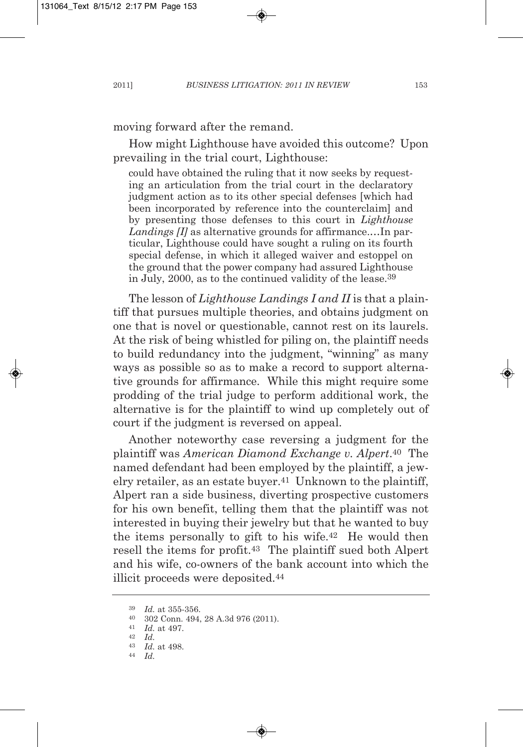moving forward after the remand.

How might Lighthouse have avoided this outcome? Upon prevailing in the trial court, Lighthouse:

could have obtained the ruling that it now seeks by requesting an articulation from the trial court in the declaratory judgment action as to its other special defenses [which had been incorporated by reference into the counterclaim] and by presenting those defenses to this court in *Lighthouse Landings [I]* as alternative grounds for affirmance.…In particular, Lighthouse could have sought a ruling on its fourth special defense, in which it alleged waiver and estoppel on the ground that the power company had assured Lighthouse in July, 2000, as to the continued validity of the lease.39

The lesson of *Lighthouse Landings I and II* is that a plaintiff that pursues multiple theories, and obtains judgment on one that is novel or questionable, cannot rest on its laurels. At the risk of being whistled for piling on, the plaintiff needs to build redundancy into the judgment, "winning" as many ways as possible so as to make a record to support alternative grounds for affirmance. While this might require some prodding of the trial judge to perform additional work, the alternative is for the plaintiff to wind up completely out of court if the judgment is reversed on appeal.

Another noteworthy case reversing a judgment for the plaintiff was *American Diamond Exchange v. Alpert*.40 The named defendant had been employed by the plaintiff, a jewelry retailer, as an estate buyer.<sup>41</sup> Unknown to the plaintiff, Alpert ran a side business, diverting prospective customers for his own benefit, telling them that the plaintiff was not interested in buying their jewelry but that he wanted to buy the items personally to gift to his wife.42 He would then resell the items for profit.43 The plaintiff sued both Alpert and his wife, co-owners of the bank account into which the illicit proceeds were deposited.44

<sup>39</sup> *Id.* at 355-356.

<sup>40</sup> 302 Conn. 494, 28 A.3d 976 (2011).

<sup>41</sup> *Id.* at 497.

<sup>42</sup> *Id.*

<sup>43</sup> *Id.* at 498.

<sup>44</sup> *Id.*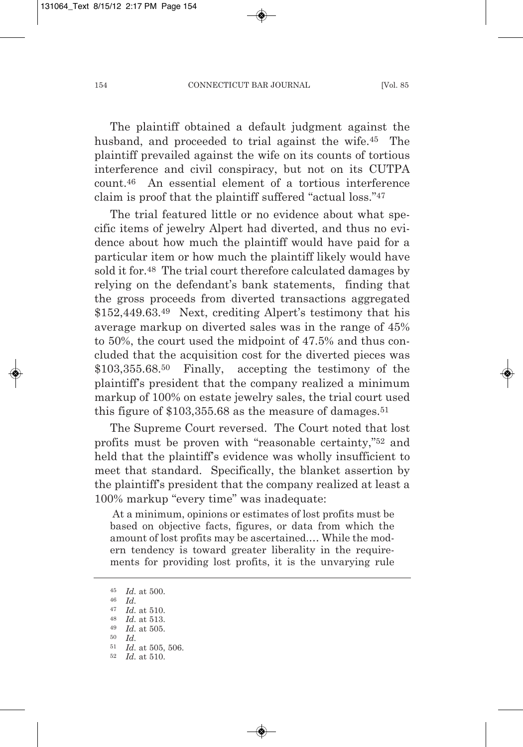The plaintiff obtained a default judgment against the husband, and proceeded to trial against the wife.45 The plaintiff prevailed against the wife on its counts of tortious interference and civil conspiracy, but not on its CUTPA count.46 An essential element of a tortious interference claim is proof that the plaintiff suffered "actual loss."47

The trial featured little or no evidence about what specific items of jewelry Alpert had diverted, and thus no evidence about how much the plaintiff would have paid for a particular item or how much the plaintiff likely would have sold it for.<sup>48</sup> The trial court therefore calculated damages by relying on the defendant's bank statements, finding that the gross proceeds from diverted transactions aggregated \$152,449.63.49 Next, crediting Alpert's testimony that his average markup on diverted sales was in the range of 45% to 50%, the court used the midpoint of 47.5% and thus concluded that the acquisition cost for the diverted pieces was \$103,355.68.50 Finally, accepting the testimony of the plaintiff's president that the company realized a minimum markup of 100% on estate jewelry sales, the trial court used this figure of  $$103,355.68$  as the measure of damages.<sup>51</sup>

The Supreme Court reversed. The Court noted that lost profits must be proven with "reasonable certainty,"52 and held that the plaintiff's evidence was wholly insufficient to meet that standard. Specifically, the blanket assertion by the plaintiff's president that the company realized at least a 100% markup "every time" was inadequate:

At a minimum, opinions or estimates of lost profits must be based on objective facts, figures, or data from which the amount of lost profits may be ascertained.… While the modern tendency is toward greater liberality in the requirements for providing lost profits, it is the unvarying rule

<sup>45</sup> *Id.* at 500.

<sup>46</sup> *Id.*

<sup>47</sup> *Id.* at 510.

<sup>48</sup> *Id.* at 513.

<sup>49</sup> *Id.* at 505.

<sup>50</sup> *Id.*

<sup>51</sup> *Id.* at 505, 506.

<sup>52</sup> *Id.* at 510.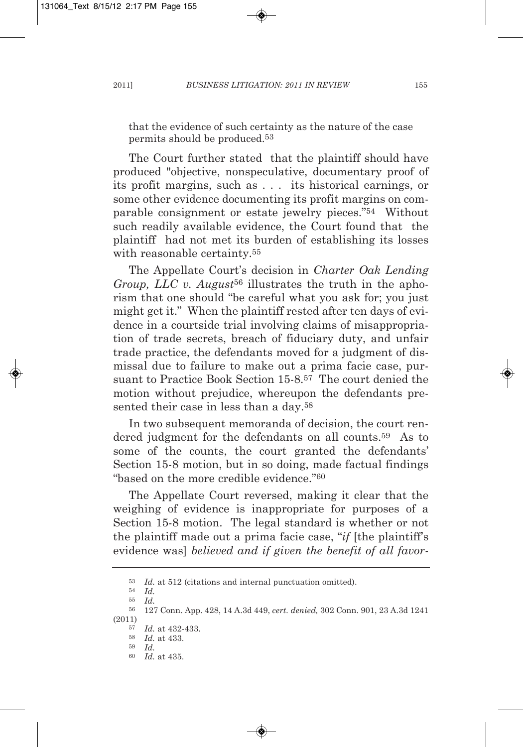that the evidence of such certainty as the nature of the case permits should be produced.53

The Court further stated that the plaintiff should have produced "objective, nonspeculative, documentary proof of its profit margins, such as . . . its historical earnings, or some other evidence documenting its profit margins on comparable consignment or estate jewelry pieces."54 Without such readily available evidence, the Court found that the plaintiff had not met its burden of establishing its losses with reasonable certainty.<sup>55</sup>

The Appellate Court's decision in *Charter Oak Lending Group, LLC v. August*<sup>56</sup> illustrates the truth in the aphorism that one should "be careful what you ask for; you just might get it." When the plaintiff rested after ten days of evidence in a courtside trial involving claims of misappropriation of trade secrets, breach of fiduciary duty, and unfair trade practice, the defendants moved for a judgment of dismissal due to failure to make out a prima facie case, pursuant to Practice Book Section 15-8.57 The court denied the motion without prejudice, whereupon the defendants presented their case in less than a day.<sup>58</sup>

In two subsequent memoranda of decision, the court rendered judgment for the defendants on all counts.59 As to some of the counts, the court granted the defendants' Section 15-8 motion, but in so doing, made factual findings "based on the more credible evidence."60

The Appellate Court reversed, making it clear that the weighing of evidence is inappropriate for purposes of a Section 15-8 motion. The legal standard is whether or not the plaintiff made out a prima facie case, "*if* [the plaintiff's evidence was] *believed and if given the benefit of all favor-*

<sup>53</sup> *Id.* at 512 (citations and internal punctuation omitted). 54 *Id.*

<sup>55</sup> *Id.*

<sup>56</sup> 127 Conn. App. 428, 14 A.3d 449, *cert. denied,* 302 Conn. 901, 23 A.3d 1241 (2011)

<sup>57</sup> *Id.* at 432-433. 58 *Id.* at 433.

<sup>59</sup> *Id.*

<sup>60</sup> *Id.* at 435.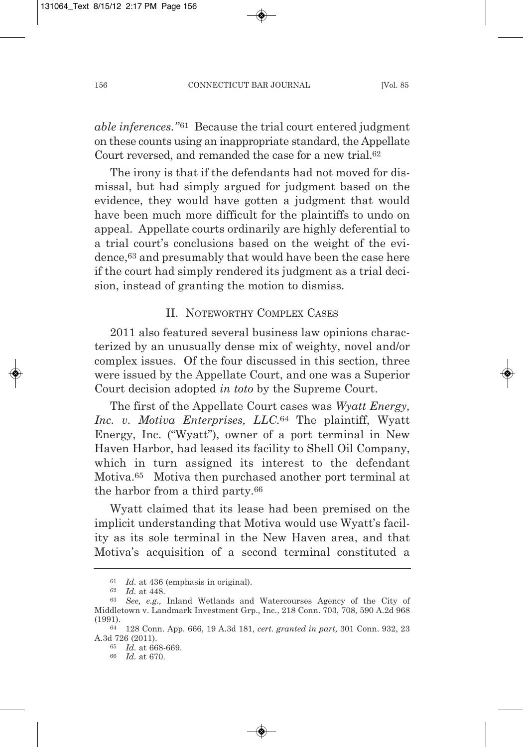*able inferences.*"<sup>61</sup> Because the trial court entered judgment on these counts using an inappropriate standard, the Appellate Court reversed, and remanded the case for a new trial.62

The irony is that if the defendants had not moved for dismissal, but had simply argued for judgment based on the evidence, they would have gotten a judgment that would have been much more difficult for the plaintiffs to undo on appeal. Appellate courts ordinarily are highly deferential to a trial court's conclusions based on the weight of the evidence,63 and presumably that would have been the case here if the court had simply rendered its judgment as a trial decision, instead of granting the motion to dismiss.

# II. NOTEWORTHY COMPLEX CASES

2011 also featured several business law opinions characterized by an unusually dense mix of weighty, novel and/or complex issues. Of the four discussed in this section, three were issued by the Appellate Court, and one was a Superior Court decision adopted *in toto* by the Supreme Court.

The first of the Appellate Court cases was *Wyatt Energy, Inc. v. Motiva Enterprises, LLC.*<sup>64</sup> The plaintiff, Wyatt Energy, Inc. ("Wyatt"), owner of a port terminal in New Haven Harbor, had leased its facility to Shell Oil Company, which in turn assigned its interest to the defendant Motiva.65 Motiva then purchased another port terminal at the harbor from a third party.66

Wyatt claimed that its lease had been premised on the implicit understanding that Motiva would use Wyatt's facility as its sole terminal in the New Haven area, and that Motiva's acquisition of a second terminal constituted a

<sup>61</sup> *Id.* at 436 (emphasis in original).

<sup>62</sup> *Id.* at 448.

<sup>63</sup> *See, e.g.,* Inland Wetlands and Watercourses Agency of the City of Middletown v. Landmark Investment Grp., Inc., 218 Conn. 703, 708, 590 A.2d 968 (1991).

<sup>64</sup> 128 Conn. App. 666, 19 A.3d 181, *cert. granted in part,* 301 Conn. 932, 23 A.3d 726 (2011).

<sup>65</sup> *Id.* at 668-669.

<sup>66</sup> *Id.* at 670.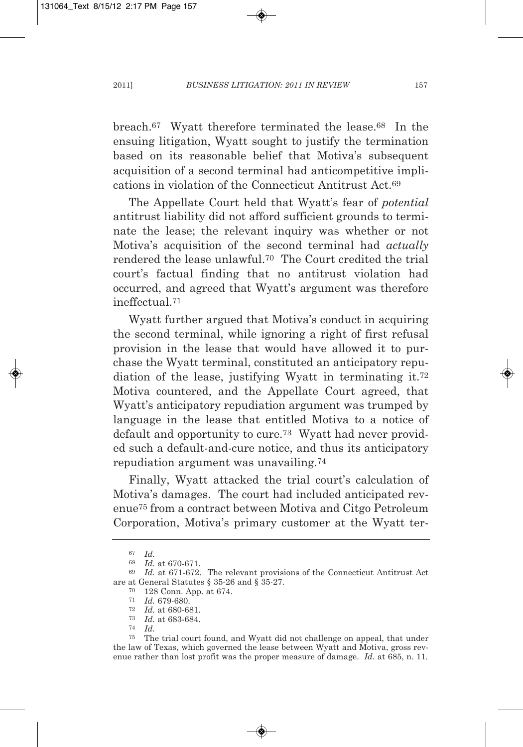breach.67 Wyatt therefore terminated the lease.68 In the ensuing litigation, Wyatt sought to justify the termination based on its reasonable belief that Motiva's subsequent acquisition of a second terminal had anticompetitive implications in violation of the Connecticut Antitrust Act.69

The Appellate Court held that Wyatt's fear of *potential* antitrust liability did not afford sufficient grounds to terminate the lease; the relevant inquiry was whether or not Motiva's acquisition of the second terminal had *actually* rendered the lease unlawful.70 The Court credited the trial court's factual finding that no antitrust violation had occurred, and agreed that Wyatt's argument was therefore ineffectual<sup>71</sup>

Wyatt further argued that Motiva's conduct in acquiring the second terminal, while ignoring a right of first refusal provision in the lease that would have allowed it to purchase the Wyatt terminal, constituted an anticipatory repudiation of the lease, justifying Wyatt in terminating it.72 Motiva countered, and the Appellate Court agreed, that Wyatt's anticipatory repudiation argument was trumped by language in the lease that entitled Motiva to a notice of default and opportunity to cure.73 Wyatt had never provided such a default-and-cure notice, and thus its anticipatory repudiation argument was unavailing.74

Finally, Wyatt attacked the trial court's calculation of Motiva's damages. The court had included anticipated revenue75 from a contract between Motiva and Citgo Petroleum Corporation, Motiva's primary customer at the Wyatt ter-

<sup>67</sup> *Id.*

<sup>68</sup> *Id.* at 670-671.

<sup>69</sup> *Id.* at 671-672. The relevant provisions of the Connecticut Antitrust Act are at General Statutes § 35-26 and § 35-27.

<sup>70</sup> 128 Conn. App. at 674.

<sup>71</sup> *Id.* 679-680.

<sup>72</sup> *Id.* at 680-681.

<sup>73</sup> *Id.* at 683-684.

<sup>74</sup> *Id.*

<sup>75</sup> The trial court found, and Wyatt did not challenge on appeal, that under the law of Texas, which governed the lease between Wyatt and Motiva, gross revenue rather than lost profit was the proper measure of damage. *Id.* at 685, n. 11.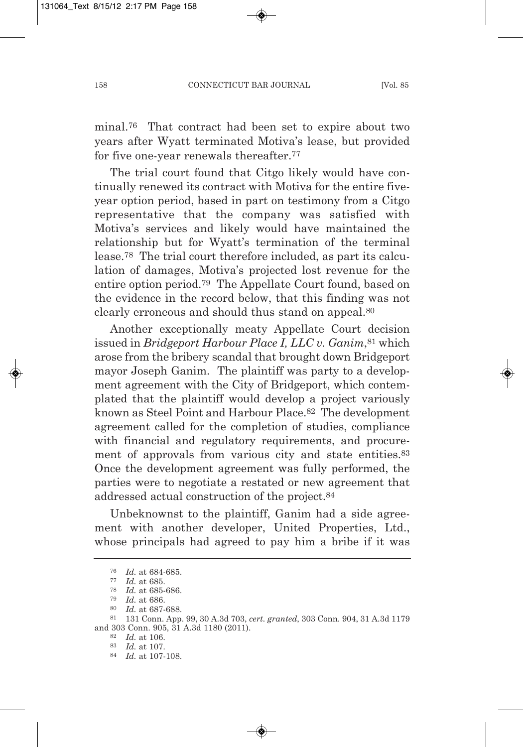minal.76 That contract had been set to expire about two years after Wyatt terminated Motiva's lease, but provided for five one-year renewals thereafter.77

The trial court found that Citgo likely would have continually renewed its contract with Motiva for the entire fiveyear option period, based in part on testimony from a Citgo representative that the company was satisfied with Motiva's services and likely would have maintained the relationship but for Wyatt's termination of the terminal lease.78 The trial court therefore included, as part its calculation of damages, Motiva's projected lost revenue for the entire option period.79 The Appellate Court found, based on the evidence in the record below, that this finding was not clearly erroneous and should thus stand on appeal.80

Another exceptionally meaty Appellate Court decision issued in *Bridgeport Harbour Place I, LLC v. Ganim*,81 which arose from the bribery scandal that brought down Bridgeport mayor Joseph Ganim. The plaintiff was party to a development agreement with the City of Bridgeport, which contemplated that the plaintiff would develop a project variously known as Steel Point and Harbour Place.82 The development agreement called for the completion of studies, compliance with financial and regulatory requirements, and procurement of approvals from various city and state entities.<sup>83</sup> Once the development agreement was fully performed, the parties were to negotiate a restated or new agreement that addressed actual construction of the project.84

Unbeknownst to the plaintiff, Ganim had a side agreement with another developer, United Properties, Ltd., whose principals had agreed to pay him a bribe if it was

84 *Id.* at 107-108.

<sup>76</sup> *Id.* at 684-685.

<sup>77</sup> *Id.* at 685.

<sup>78</sup> *Id.* at 685-686.

<sup>79</sup> *Id.* at 686.

<sup>80</sup> *Id.* at 687-688.

<sup>81</sup> 131 Conn. App. 99, 30 A.3d 703, *cert. granted*, 303 Conn. 904, 31 A.3d 1179 and 303 Conn. 905, 31 A.3d 1180 (2011).

<sup>82</sup> *Id.* at 106.

<sup>83</sup> *Id.* at 107.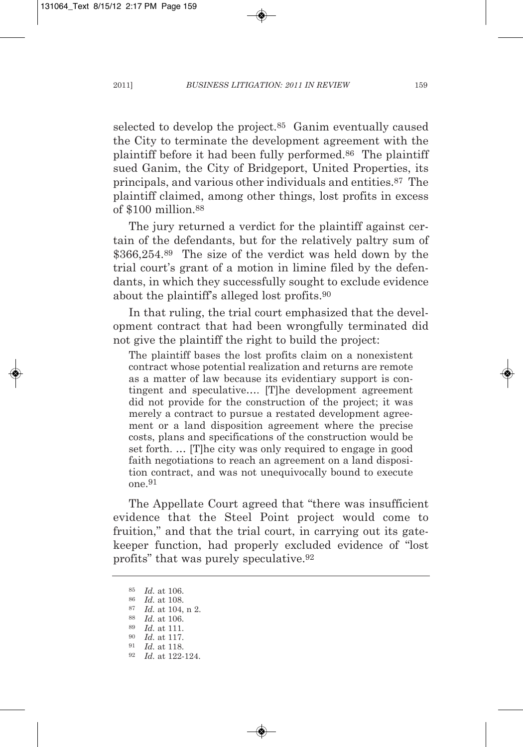selected to develop the project.85 Ganim eventually caused the City to terminate the development agreement with the plaintiff before it had been fully performed.86 The plaintiff sued Ganim, the City of Bridgeport, United Properties, its principals, and various other individuals and entities.87 The plaintiff claimed, among other things, lost profits in excess of \$100 million.88

The jury returned a verdict for the plaintiff against certain of the defendants, but for the relatively paltry sum of \$366,254.89 The size of the verdict was held down by the trial court's grant of a motion in limine filed by the defendants, in which they successfully sought to exclude evidence about the plaintiff's alleged lost profits.90

In that ruling, the trial court emphasized that the development contract that had been wrongfully terminated did not give the plaintiff the right to build the project:

The plaintiff bases the lost profits claim on a nonexistent contract whose potential realization and returns are remote as a matter of law because its evidentiary support is contingent and speculative…. [T]he development agreement did not provide for the construction of the project; it was merely a contract to pursue a restated development agreement or a land disposition agreement where the precise costs, plans and specifications of the construction would be set forth. … [T]he city was only required to engage in good faith negotiations to reach an agreement on a land disposition contract, and was not unequivocally bound to execute one.91

The Appellate Court agreed that "there was insufficient evidence that the Steel Point project would come to fruition," and that the trial court, in carrying out its gatekeeper function, had properly excluded evidence of "lost profits" that was purely speculative.92

<sup>85</sup> *Id.* at 106.

<sup>86</sup> *Id.* at 108.

<sup>87</sup> *Id.* at 104, n 2.

<sup>88</sup> *Id.* at 106.

<sup>89</sup> *Id.* at 111.

<sup>90</sup> *Id.* at 117. 91 *Id.* at 118.

<sup>92</sup> *Id.* at 122-124.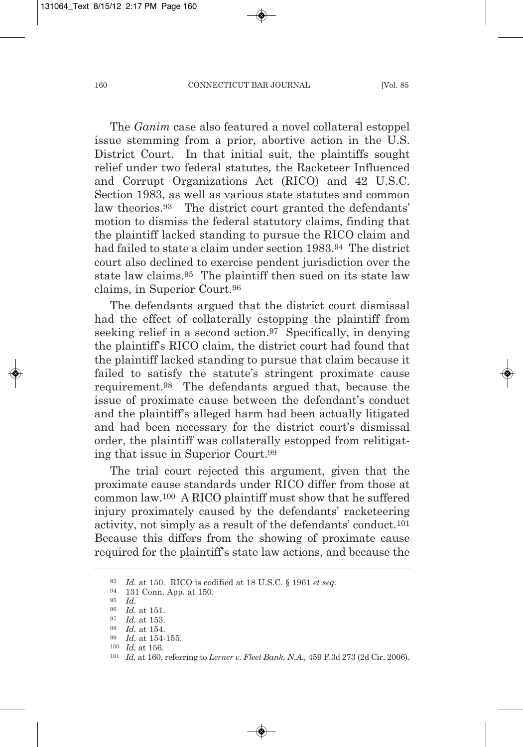The *Ganim* case also featured a novel collateral estoppel issue stemming from a prior, abortive action in the U.S. District Court. In that initial suit, the plaintiffs sought relief under two federal statutes, the Racketeer Influenced and Corrupt Organizations Act (RICO) and 42 U.S.C. Section 1983, as well as various state statutes and common law theories.93 The district court granted the defendants' motion to dismiss the federal statutory claims, finding that the plaintiff lacked standing to pursue the RICO claim and had failed to state a claim under section 1983.94 The district court also declined to exercise pendent jurisdiction over the state law claims.95 The plaintiff then sued on its state law claims, in Superior Court.96

The defendants argued that the district court dismissal had the effect of collaterally estopping the plaintiff from seeking relief in a second action.<sup>97</sup> Specifically, in denying the plaintiff's RICO claim, the district court had found that the plaintiff lacked standing to pursue that claim because it failed to satisfy the statute's stringent proximate cause requirement.98 The defendants argued that, because the issue of proximate cause between the defendant's conduct and the plaintiff's alleged harm had been actually litigated and had been necessary for the district court's dismissal order, the plaintiff was collaterally estopped from relitigating that issue in Superior Court.99

The trial court rejected this argument, given that the proximate cause standards under RICO differ from those at common law.100 A RICO plaintiff must show that he suffered injury proximately caused by the defendants' racketeering activity, not simply as a result of the defendants' conduct.101 Because this differs from the showing of proximate cause required for the plaintiff's state law actions, and because the

<sup>93</sup> *Id.* at 150. RICO is codified at 18 U.S.C. § 1961 *et seq.*

<sup>94</sup> 131 Conn. App. at 150.

<sup>95</sup> *Id.*

<sup>96</sup> *Id.* at 151.

<sup>97</sup> *Id.* at 153. 98 *Id.* at 154.

<sup>99</sup> *Id.* at 154-155.

<sup>100</sup> *Id.* at 156.

<sup>101</sup> *Id.* at 160, referring to *Lerner v. Fleet Bank, N.A.,* 459 F.3d 273 (2d Cir. 2006).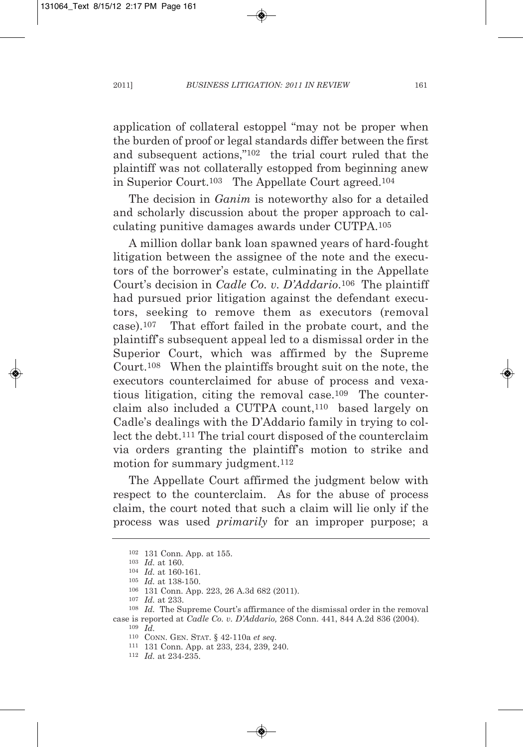application of collateral estoppel "may not be proper when the burden of proof or legal standards differ between the first and subsequent actions,"102 the trial court ruled that the plaintiff was not collaterally estopped from beginning anew in Superior Court.103 The Appellate Court agreed.104

The decision in *Ganim* is noteworthy also for a detailed and scholarly discussion about the proper approach to calculating punitive damages awards under CUTPA.105

A million dollar bank loan spawned years of hard-fought litigation between the assignee of the note and the executors of the borrower's estate, culminating in the Appellate Court's decision in *Cadle Co. v. D'Addario*.106 The plaintiff had pursued prior litigation against the defendant executors, seeking to remove them as executors (removal case).107 That effort failed in the probate court, and the plaintiff's subsequent appeal led to a dismissal order in the Superior Court, which was affirmed by the Supreme Court.108 When the plaintiffs brought suit on the note, the executors counterclaimed for abuse of process and vexatious litigation, citing the removal case.109 The counterclaim also included a CUTPA count,<sup>110</sup> based largely on Cadle's dealings with the D'Addario family in trying to collect the debt.111 The trial court disposed of the counterclaim via orders granting the plaintiff's motion to strike and motion for summary judgment.<sup>112</sup>

The Appellate Court affirmed the judgment below with respect to the counterclaim. As for the abuse of process claim, the court noted that such a claim will lie only if the process was used *primarily* for an improper purpose; a

<sup>102</sup> 131 Conn. App. at 155.

<sup>103</sup> *Id.* at 160.

<sup>104</sup> *Id.* at 160-161.

<sup>105</sup> *Id.* at 138-150.

<sup>106</sup> 131 Conn. App. 223, 26 A.3d 682 (2011).

<sup>107</sup> *Id.* at 233.

<sup>108</sup> *Id.* The Supreme Court's affirmance of the dismissal order in the removal case is reported at *Cadle Co. v. D'Addario,* 268 Conn. 441, 844 A.2d 836 (2004). 109 *Id.*

<sup>110</sup> CONN. GEN. STAT. § 42-110a *et seq.*

<sup>111</sup> 131 Conn. App. at 233, 234, 239, 240.

<sup>112</sup> *Id.* at 234-235.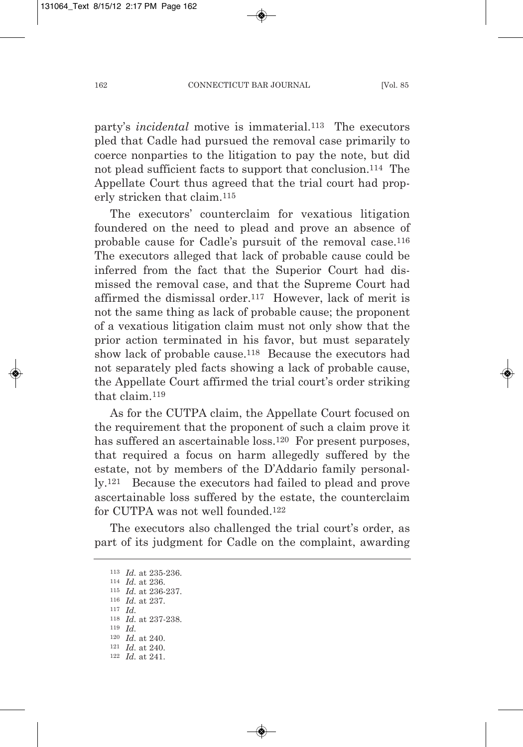party's *incidental* motive is immaterial.113 The executors pled that Cadle had pursued the removal case primarily to coerce nonparties to the litigation to pay the note, but did not plead sufficient facts to support that conclusion.114 The Appellate Court thus agreed that the trial court had properly stricken that claim.115

The executors' counterclaim for vexatious litigation foundered on the need to plead and prove an absence of probable cause for Cadle's pursuit of the removal case.116 The executors alleged that lack of probable cause could be inferred from the fact that the Superior Court had dismissed the removal case, and that the Supreme Court had affirmed the dismissal order.117 However, lack of merit is not the same thing as lack of probable cause; the proponent of a vexatious litigation claim must not only show that the prior action terminated in his favor, but must separately show lack of probable cause.118 Because the executors had not separately pled facts showing a lack of probable cause, the Appellate Court affirmed the trial court's order striking that claim.119

As for the CUTPA claim, the Appellate Court focused on the requirement that the proponent of such a claim prove it has suffered an ascertainable loss.<sup>120</sup> For present purposes, that required a focus on harm allegedly suffered by the estate, not by members of the D'Addario family personally.121 Because the executors had failed to plead and prove ascertainable loss suffered by the estate, the counterclaim for CUTPA was not well founded.122

The executors also challenged the trial court's order, as part of its judgment for Cadle on the complaint, awarding

 *Id.* at 235-236. *Id.* at 236. *Id.* at 236-237. *Id.* at 237. <sup>117</sup> *Id. Id.* at 237-238. 119 *Id. Id.* at 240. *Id.* at 240. *Id.* at 241.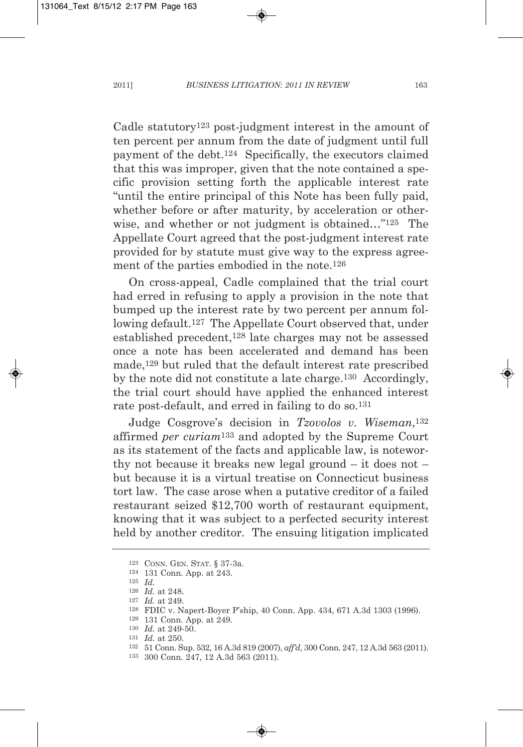Cadle statutory123 post-judgment interest in the amount of ten percent per annum from the date of judgment until full payment of the debt.124 Specifically, the executors claimed that this was improper, given that the note contained a specific provision setting forth the applicable interest rate "until the entire principal of this Note has been fully paid, whether before or after maturity, by acceleration or otherwise, and whether or not judgment is obtained..."<sup>125</sup> The Appellate Court agreed that the post-judgment interest rate provided for by statute must give way to the express agreement of the parties embodied in the note.126

On cross-appeal, Cadle complained that the trial court had erred in refusing to apply a provision in the note that bumped up the interest rate by two percent per annum following default.127 The Appellate Court observed that, under established precedent,128 late charges may not be assessed once a note has been accelerated and demand has been made,129 but ruled that the default interest rate prescribed by the note did not constitute a late charge.<sup>130</sup> Accordingly, the trial court should have applied the enhanced interest rate post-default, and erred in failing to do so.131

Judge Cosgrove's decision in *Tzovolos v. Wiseman*,132 affirmed *per curiam*133 and adopted by the Supreme Court as its statement of the facts and applicable law, is noteworthy not because it breaks new legal ground – it does not – but because it is a virtual treatise on Connecticut business tort law. The case arose when a putative creditor of a failed restaurant seized \$12,700 worth of restaurant equipment, knowing that it was subject to a perfected security interest held by another creditor. The ensuing litigation implicated

<sup>123</sup> CONN. GEN. STAT. § 37-3a.

<sup>124</sup> 131 Conn. App. at 243.

<sup>125</sup> *Id.*

<sup>126</sup> *Id.* at 248.

<sup>127</sup> *Id.* at 249.

<sup>128</sup> FDIC v. Napert-Boyer P'ship, 40 Conn. App. 434, 671 A.3d 1303 (1996).

<sup>129</sup> 131 Conn. App. at 249.

<sup>130</sup> *Id.* at 249-50.

<sup>131</sup> *Id.* at 250.

<sup>132</sup> 51 Conn. Sup. 532, 16 A.3d 819 (2007), *aff'd*, 300 Conn. 247, 12 A.3d 563 (2011).

<sup>133</sup> 300 Conn. 247, 12 A.3d 563 (2011).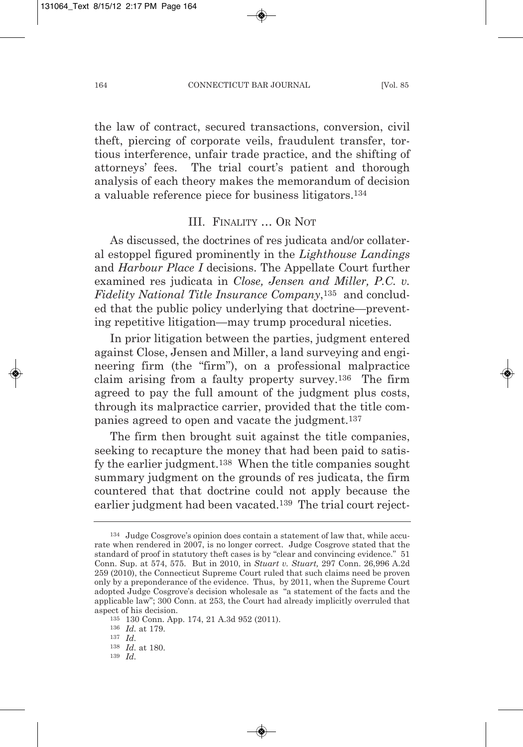the law of contract, secured transactions, conversion, civil theft, piercing of corporate veils, fraudulent transfer, tortious interference, unfair trade practice, and the shifting of attorneys' fees. The trial court's patient and thorough analysis of each theory makes the memorandum of decision a valuable reference piece for business litigators.134

# III. FINALITY … OR NOT

As discussed, the doctrines of res judicata and/or collateral estoppel figured prominently in the *Lighthouse Landings* and *Harbour Place I* decisions. The Appellate Court further examined res judicata in *Close, Jensen and Miller, P.C. v. Fidelity National Title Insurance Company*,135 and concluded that the public policy underlying that doctrine—preventing repetitive litigation—may trump procedural niceties.

In prior litigation between the parties, judgment entered against Close, Jensen and Miller, a land surveying and engineering firm (the "firm"), on a professional malpractice claim arising from a faulty property survey.136 The firm agreed to pay the full amount of the judgment plus costs, through its malpractice carrier, provided that the title companies agreed to open and vacate the judgment.137

The firm then brought suit against the title companies, seeking to recapture the money that had been paid to satisfy the earlier judgment.138 When the title companies sought summary judgment on the grounds of res judicata, the firm countered that that doctrine could not apply because the earlier judgment had been vacated.<sup>139</sup> The trial court reject-

135 130 Conn. App. 174, 21 A.3d 952 (2011).

<sup>134</sup> Judge Cosgrove's opinion does contain a statement of law that, while accurate when rendered in 2007, is no longer correct. Judge Cosgrove stated that the standard of proof in statutory theft cases is by "clear and convincing evidence." 51 Conn. Sup. at 574, 575. But in 2010, in *Stuart v. Stuart,* 297 Conn. 26,996 A.2d 259 (2010), the Connecticut Supreme Court ruled that such claims need be proven only by a preponderance of the evidence. Thus, by 2011, when the Supreme Court adopted Judge Cosgrove's decision wholesale as "a statement of the facts and the applicable law"; 300 Conn. at 253, the Court had already implicitly overruled that aspect of his decision.

<sup>136</sup> *Id.* at 179.

<sup>137</sup> *Id.*

<sup>138</sup> *Id.* at 180.

<sup>139</sup> *Id.*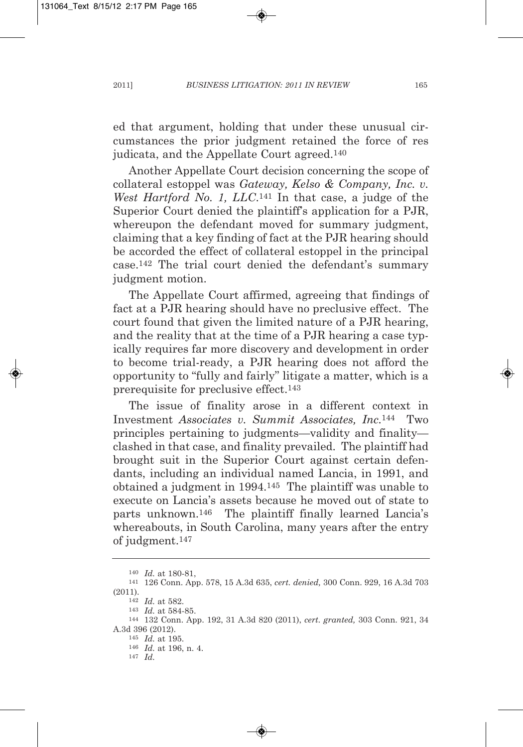ed that argument, holding that under these unusual circumstances the prior judgment retained the force of res judicata, and the Appellate Court agreed.140

Another Appellate Court decision concerning the scope of collateral estoppel was *Gateway, Kelso & Company, Inc. v. West Hartford No. 1, LLC*.141 In that case, a judge of the Superior Court denied the plaintiff's application for a PJR, whereupon the defendant moved for summary judgment, claiming that a key finding of fact at the PJR hearing should be accorded the effect of collateral estoppel in the principal case.142 The trial court denied the defendant's summary judgment motion.

The Appellate Court affirmed, agreeing that findings of fact at a PJR hearing should have no preclusive effect. The court found that given the limited nature of a PJR hearing, and the reality that at the time of a PJR hearing a case typically requires far more discovery and development in order to become trial-ready, a PJR hearing does not afford the opportunity to "fully and fairly" litigate a matter, which is a prerequisite for preclusive effect.143

The issue of finality arose in a different context in Investment *Associates v. Summit Associates, Inc.*<sup>144</sup> Two principles pertaining to judgments—validity and finality clashed in that case, and finality prevailed. The plaintiff had brought suit in the Superior Court against certain defendants, including an individual named Lancia, in 1991, and obtained a judgment in 1994.145 The plaintiff was unable to execute on Lancia's assets because he moved out of state to parts unknown.146 The plaintiff finally learned Lancia's whereabouts, in South Carolina, many years after the entry of judgment.147

<sup>140</sup> *Id.* at 180-81,

<sup>141</sup> 126 Conn. App. 578, 15 A.3d 635, *cert. denied,* 300 Conn. 929, 16 A.3d 703 (2011).

<sup>142</sup> *Id.* at 582.

<sup>143</sup> *Id.* at 584-85.

<sup>144</sup> 132 Conn. App. 192, 31 A.3d 820 (2011), *cert. granted,* 303 Conn. 921, 34 A.3d 396 (2012).

<sup>145</sup> *Id.* at 195.

<sup>146</sup> *Id.* at 196, n. 4.

<sup>147</sup> *Id.*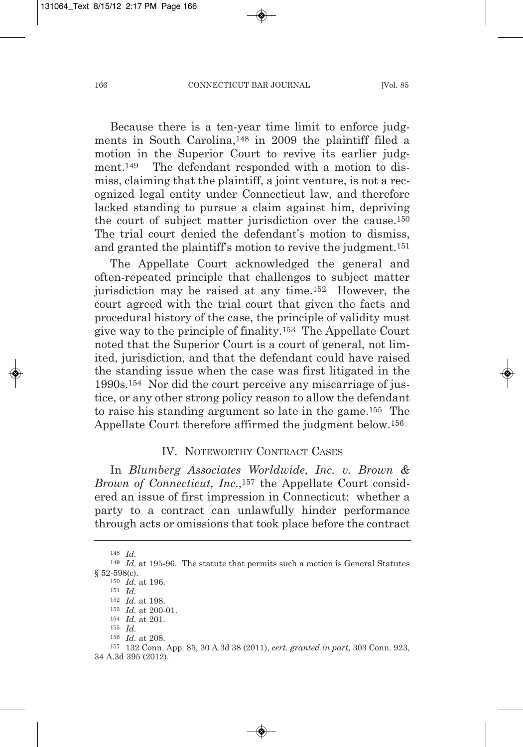Because there is a ten-year time limit to enforce judgments in South Carolina,148 in 2009 the plaintiff filed a motion in the Superior Court to revive its earlier judgment.<sup>149</sup> The defendant responded with a motion to dismiss, claiming that the plaintiff, a joint venture, is not a recognized legal entity under Connecticut law, and therefore lacked standing to pursue a claim against him, depriving the court of subject matter jurisdiction over the cause.150 The trial court denied the defendant's motion to dismiss, and granted the plaintiff's motion to revive the judgment.151

The Appellate Court acknowledged the general and often-repeated principle that challenges to subject matter jurisdiction may be raised at any time.152 However, the court agreed with the trial court that given the facts and procedural history of the case, the principle of validity must give way to the principle of finality.153 The Appellate Court noted that the Superior Court is a court of general, not limited, jurisdiction, and that the defendant could have raised the standing issue when the case was first litigated in the 1990s.154 Nor did the court perceive any miscarriage of justice, or any other strong policy reason to allow the defendant to raise his standing argument so late in the game.155 The Appellate Court therefore affirmed the judgment below.156

### IV. NOTEWORTHY CONTRACT CASES

In *Blumberg Associates Worldwide, Inc. v. Brown & Brown of Connecticut, Inc*.,157 the Appellate Court considered an issue of first impression in Connecticut: whether a party to a contract can unlawfully hinder performance through acts or omissions that took place before the contract

<sup>148</sup> *Id.*

<sup>149</sup> *Id.* at 195-96. The statute that permits such a motion is General Statutes § 52-598(c).

<sup>150</sup> *Id.* at 196.

<sup>151</sup> *Id.* <sup>152</sup> *Id.* at 198.

<sup>153</sup> *Id.* at 200-01.

<sup>154</sup> *Id.* at 201.

<sup>155</sup> *Id.*

<sup>156</sup> *Id.* at 208.

<sup>157</sup> 132 Conn. App. 85, 30 A.3d 38 (2011), *cert. granted in part,* 303 Conn. 923, 34 A.3d 395 (2012).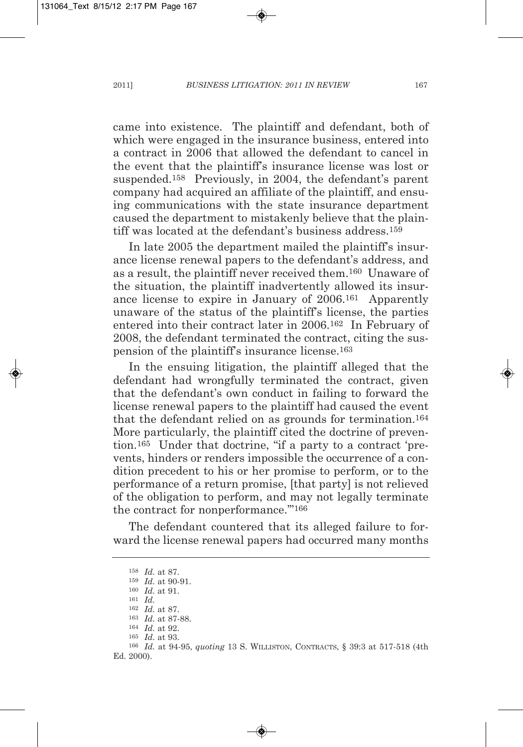came into existence. The plaintiff and defendant, both of which were engaged in the insurance business, entered into a contract in 2006 that allowed the defendant to cancel in the event that the plaintiff's insurance license was lost or suspended.158 Previously, in 2004, the defendant's parent company had acquired an affiliate of the plaintiff, and ensuing communications with the state insurance department caused the department to mistakenly believe that the plaintiff was located at the defendant's business address.159

In late 2005 the department mailed the plaintiff's insurance license renewal papers to the defendant's address, and as a result, the plaintiff never received them.160 Unaware of the situation, the plaintiff inadvertently allowed its insurance license to expire in January of 2006.161 Apparently unaware of the status of the plaintiff's license, the parties entered into their contract later in 2006.162 In February of 2008, the defendant terminated the contract, citing the suspension of the plaintiff's insurance license.163

In the ensuing litigation, the plaintiff alleged that the defendant had wrongfully terminated the contract, given that the defendant's own conduct in failing to forward the license renewal papers to the plaintiff had caused the event that the defendant relied on as grounds for termination.164 More particularly, the plaintiff cited the doctrine of prevention.165 Under that doctrine, "if a party to a contract 'prevents, hinders or renders impossible the occurrence of a condition precedent to his or her promise to perform, or to the performance of a return promise, [that party] is not relieved of the obligation to perform, and may not legally terminate the contract for nonperformance.'"166

The defendant countered that its alleged failure to forward the license renewal papers had occurred many months

<sup>158</sup> *Id.* at 87.

<sup>159</sup> *Id.* at 90-91. <sup>160</sup> *Id.* at 91.

<sup>161</sup> *Id.*

<sup>162</sup> *Id.* at 87.

<sup>163</sup> *Id.* at 87-88.

<sup>164</sup> *Id.* at 92.

<sup>165</sup> *Id.* at 93.

<sup>166</sup> *Id.* at 94-95, *quoting* 13 S. WILLISTON, CONTRACTS, § 39:3 at 517-518 (4th Ed. 2000).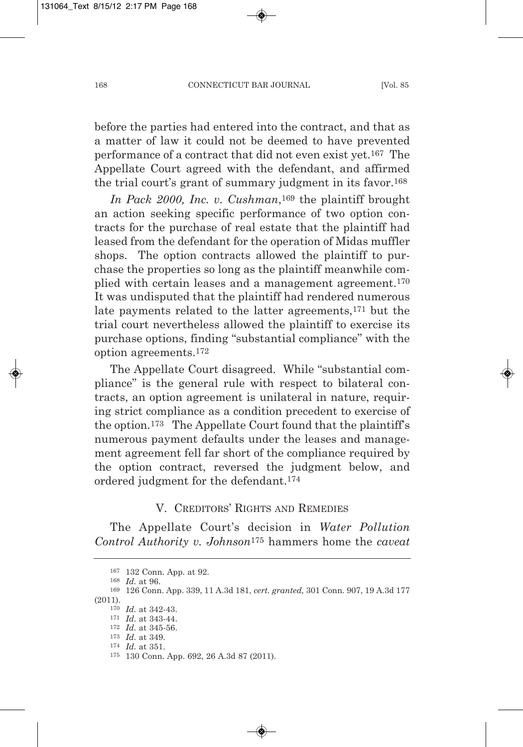before the parties had entered into the contract, and that as a matter of law it could not be deemed to have prevented performance of a contract that did not even exist yet.167 The Appellate Court agreed with the defendant, and affirmed the trial court's grant of summary judgment in its favor.168

*In Pack 2000, Inc. v. Cushman*,169 the plaintiff brought an action seeking specific performance of two option contracts for the purchase of real estate that the plaintiff had leased from the defendant for the operation of Midas muffler shops. The option contracts allowed the plaintiff to purchase the properties so long as the plaintiff meanwhile complied with certain leases and a management agreement.170 It was undisputed that the plaintiff had rendered numerous late payments related to the latter agreements,171 but the trial court nevertheless allowed the plaintiff to exercise its purchase options, finding "substantial compliance" with the option agreements.172

The Appellate Court disagreed. While "substantial compliance" is the general rule with respect to bilateral contracts, an option agreement is unilateral in nature, requiring strict compliance as a condition precedent to exercise of the option.173 The Appellate Court found that the plaintiff's numerous payment defaults under the leases and management agreement fell far short of the compliance required by the option contract, reversed the judgment below, and ordered judgment for the defendant.174

### V. CREDITORS' RIGHTS AND REMEDIES

The Appellate Court's decision in *Water Pollution Control Authority v. Johnson*<sup>175</sup> hammers home the *caveat*

174 *Id.* at 351.

<sup>167</sup> 132 Conn. App. at 92. 168 *Id.* at 96.

<sup>169</sup> 126 Conn. App. 339, 11 A.3d 181, *cert. granted,* 301 Conn. 907, 19 A.3d 177 (2011).

<sup>170</sup> *Id.* at 342-43.

<sup>171</sup> *Id.* at 343-44. 172 *Id.* at 345-56.

<sup>173</sup> *Id.* at 349.

<sup>175</sup> 130 Conn. App. 692, 26 A.3d 87 (2011).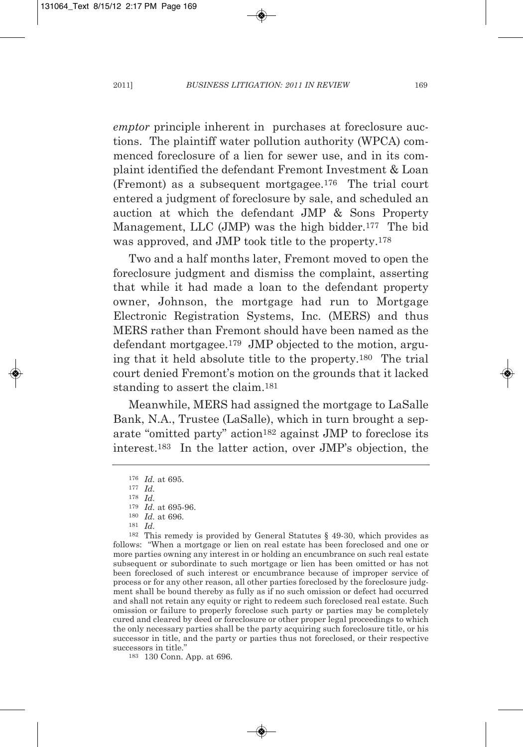*emptor* principle inherent in purchases at foreclosure auctions. The plaintiff water pollution authority (WPCA) commenced foreclosure of a lien for sewer use, and in its complaint identified the defendant Fremont Investment & Loan (Fremont) as a subsequent mortgagee.176 The trial court entered a judgment of foreclosure by sale, and scheduled an auction at which the defendant JMP & Sons Property Management, LLC (JMP) was the high bidder.177 The bid was approved, and JMP took title to the property.178

Two and a half months later, Fremont moved to open the foreclosure judgment and dismiss the complaint, asserting that while it had made a loan to the defendant property owner, Johnson, the mortgage had run to Mortgage Electronic Registration Systems, Inc. (MERS) and thus MERS rather than Fremont should have been named as the defendant mortgagee.179 JMP objected to the motion, arguing that it held absolute title to the property.180 The trial court denied Fremont's motion on the grounds that it lacked standing to assert the claim.181

Meanwhile, MERS had assigned the mortgage to LaSalle Bank, N.A., Trustee (LaSalle), which in turn brought a separate "omitted party" action182 against JMP to foreclose its interest.183 In the latter action, over JMP's objection, the

<sup>178</sup> *Id.* <sup>179</sup> *Id.* at 695-96. <sup>180</sup> *Id.* at 696. <sup>181</sup> *Id.*

<sup>182</sup> This remedy is provided by General Statutes § 49-30, which provides as follows: "When a mortgage or lien on real estate has been foreclosed and one or more parties owning any interest in or holding an encumbrance on such real estate subsequent or subordinate to such mortgage or lien has been omitted or has not been foreclosed of such interest or encumbrance because of improper service of process or for any other reason, all other parties foreclosed by the foreclosure judgment shall be bound thereby as fully as if no such omission or defect had occurred and shall not retain any equity or right to redeem such foreclosed real estate. Such omission or failure to properly foreclose such party or parties may be completely cured and cleared by deed or foreclosure or other proper legal proceedings to which the only necessary parties shall be the party acquiring such foreclosure title, or his successor in title, and the party or parties thus not foreclosed, or their respective successors in title."

183 130 Conn. App. at 696.

<sup>176</sup> *Id.* at 695.

<sup>177</sup> *Id.*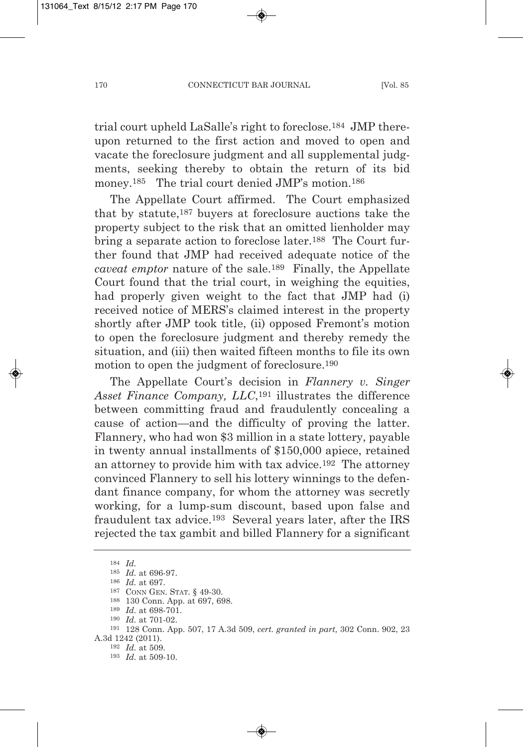trial court upheld LaSalle's right to foreclose.184 JMP thereupon returned to the first action and moved to open and vacate the foreclosure judgment and all supplemental judgments, seeking thereby to obtain the return of its bid money.<sup>185</sup> The trial court denied JMP's motion.<sup>186</sup>

The Appellate Court affirmed. The Court emphasized that by statute,187 buyers at foreclosure auctions take the property subject to the risk that an omitted lienholder may bring a separate action to foreclose later.188 The Court further found that JMP had received adequate notice of the *caveat emptor* nature of the sale.189 Finally, the Appellate Court found that the trial court, in weighing the equities, had properly given weight to the fact that JMP had (i) received notice of MERS's claimed interest in the property shortly after JMP took title, (ii) opposed Fremont's motion to open the foreclosure judgment and thereby remedy the situation, and (iii) then waited fifteen months to file its own motion to open the judgment of foreclosure.190

The Appellate Court's decision in *Flannery v. Singer Asset Finance Company, LLC*,191 illustrates the difference between committing fraud and fraudulently concealing a cause of action—and the difficulty of proving the latter. Flannery, who had won \$3 million in a state lottery, payable in twenty annual installments of \$150,000 apiece, retained an attorney to provide him with tax advice.192 The attorney convinced Flannery to sell his lottery winnings to the defendant finance company, for whom the attorney was secretly working, for a lump-sum discount, based upon false and fraudulent tax advice.193 Several years later, after the IRS rejected the tax gambit and billed Flannery for a significant

<sup>184</sup> *Id.* <sup>185</sup> *Id.* at 696-97. <sup>186</sup> *Id.* at 697. <sup>187</sup> CONN GEN. STAT. § 49-30. <sup>188</sup> 130 Conn. App. at 697, 698. <sup>189</sup> *Id.* at 698-701. 190 *Id.* at 701-02. 191 128 Conn. App. 507, 17 A.3d 509, *cert. granted in part,* 302 Conn. 902, 23 A.3d 1242 (2011). 192 *Id.* at 509. 193 *Id.* at 509-10.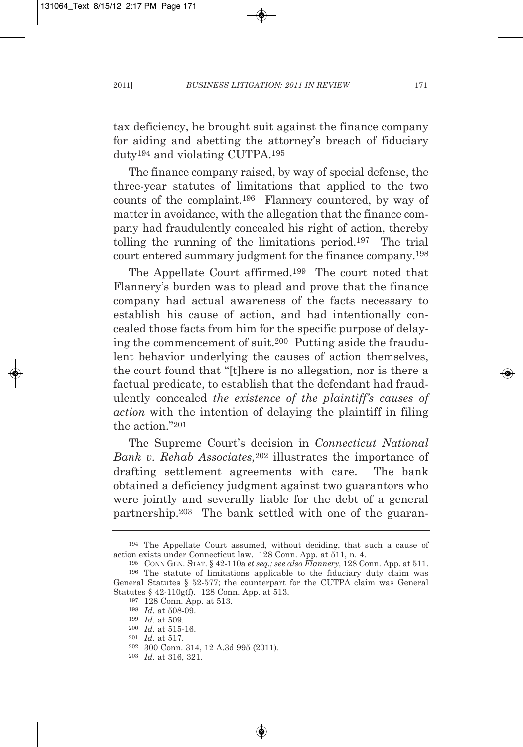tax deficiency, he brought suit against the finance company for aiding and abetting the attorney's breach of fiduciary duty194 and violating CUTPA.195

The finance company raised, by way of special defense, the three-year statutes of limitations that applied to the two counts of the complaint.196 Flannery countered, by way of matter in avoidance, with the allegation that the finance company had fraudulently concealed his right of action, thereby tolling the running of the limitations period.197 The trial court entered summary judgment for the finance company.198

The Appellate Court affirmed.199 The court noted that Flannery's burden was to plead and prove that the finance company had actual awareness of the facts necessary to establish his cause of action, and had intentionally concealed those facts from him for the specific purpose of delaying the commencement of suit.200 Putting aside the fraudulent behavior underlying the causes of action themselves, the court found that "[t]here is no allegation, nor is there a factual predicate, to establish that the defendant had fraudulently concealed *the existence of the plaintiff's causes of action* with the intention of delaying the plaintiff in filing the action<sup>"201</sup>

The Supreme Court's decision in *Connecticut National Bank v. Rehab Associates,*<sup>202</sup> illustrates the importance of drafting settlement agreements with care. The bank obtained a deficiency judgment against two guarantors who were jointly and severally liable for the debt of a general partnership.203 The bank settled with one of the guaran-

<sup>194</sup> The Appellate Court assumed, without deciding, that such a cause of action exists under Connecticut law. 128 Conn. App. at 511, n. 4.

<sup>195</sup> CONN GEN. STAT. § 42-110a *et seq.; see also Flannery,* 128 Conn. App. at 511. <sup>196</sup> The statute of limitations applicable to the fiduciary duty claim was General Statutes § 52-577; the counterpart for the CUTPA claim was General Statutes § 42-110g(f). 128 Conn. App. at 513.

<sup>197</sup> 128 Conn. App. at 513.

<sup>198</sup> *Id.* at 508-09.

<sup>199</sup> *Id.* at 509.

<sup>200</sup> *Id.* at 515-16.

<sup>201</sup> *Id.* at 517.

<sup>202</sup> 300 Conn. 314, 12 A.3d 995 (2011).

<sup>203</sup> *Id.* at 316, 321.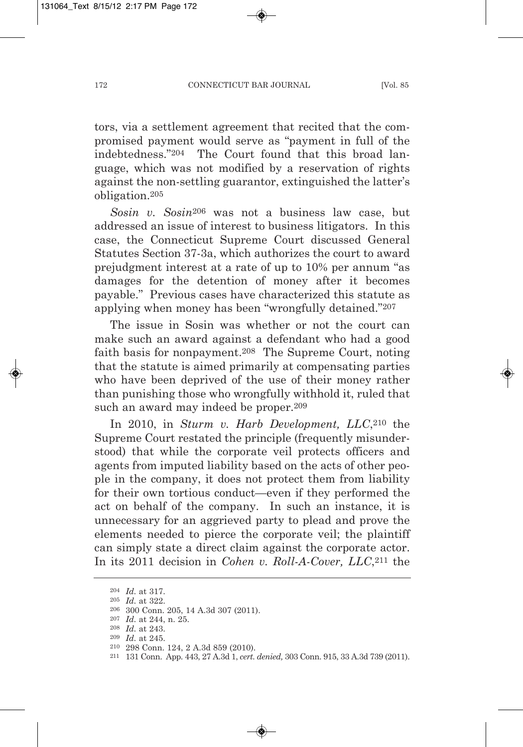tors, via a settlement agreement that recited that the compromised payment would serve as "payment in full of the indebtedness."204 The Court found that this broad language, which was not modified by a reservation of rights against the non-settling guarantor, extinguished the latter's obligation.205

*Sosin v. Sosin*<sup>206</sup> was not a business law case, but addressed an issue of interest to business litigators. In this case, the Connecticut Supreme Court discussed General Statutes Section 37-3a, which authorizes the court to award prejudgment interest at a rate of up to 10% per annum "as damages for the detention of money after it becomes payable." Previous cases have characterized this statute as applying when money has been "wrongfully detained."207

The issue in Sosin was whether or not the court can make such an award against a defendant who had a good faith basis for nonpayment.208 The Supreme Court, noting that the statute is aimed primarily at compensating parties who have been deprived of the use of their money rather than punishing those who wrongfully withhold it, ruled that such an award may indeed be proper.209

In 2010, in *Sturm v. Harb Development, LLC*,<sup>210</sup> the Supreme Court restated the principle (frequently misunderstood) that while the corporate veil protects officers and agents from imputed liability based on the acts of other people in the company, it does not protect them from liability for their own tortious conduct—even if they performed the act on behalf of the company. In such an instance, it is unnecessary for an aggrieved party to plead and prove the elements needed to pierce the corporate veil; the plaintiff can simply state a direct claim against the corporate actor. In its 2011 decision in *Cohen v. Roll-A-Cover, LLC*,211 the

<sup>204</sup> *Id.* at 317.

<sup>205</sup> *Id.* at 322.

<sup>206</sup> 300 Conn. 205, 14 A.3d 307 (2011).

<sup>207</sup> *Id.* at 244, n. 25.

<sup>208</sup> *Id.* at 243.

<sup>209</sup> *Id.* at 245.

<sup>210</sup> 298 Conn. 124, 2 A.3d 859 (2010).

<sup>211</sup> 131 Conn. App. 443, 27 A.3d 1, *cert. denied,* 303 Conn. 915, 33 A.3d 739 (2011).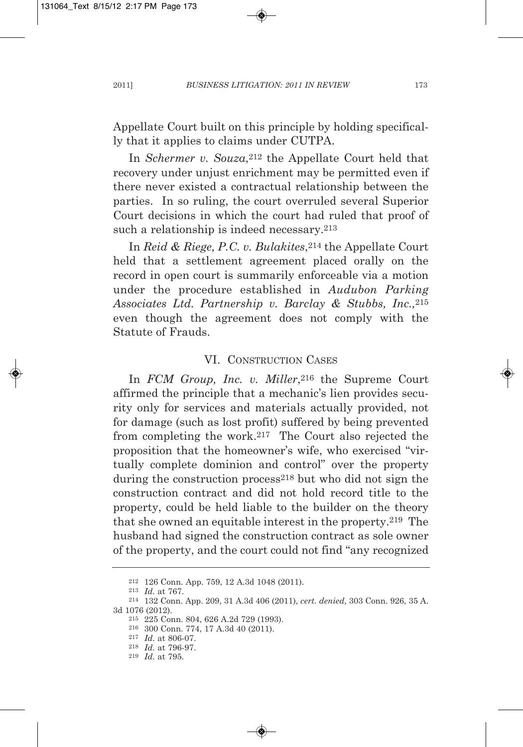Appellate Court built on this principle by holding specifically that it applies to claims under CUTPA.

In *Schermer v. Souza*,<sup>212</sup> the Appellate Court held that recovery under unjust enrichment may be permitted even if there never existed a contractual relationship between the parties. In so ruling, the court overruled several Superior Court decisions in which the court had ruled that proof of such a relationship is indeed necessary.<sup>213</sup>

In *Reid & Riege, P.C. v. Bulakites*,214 the Appellate Court held that a settlement agreement placed orally on the record in open court is summarily enforceable via a motion under the procedure established in *Audubon Parking Associates Ltd. Partnership v. Barclay & Stubbs, Inc.,*215 even though the agreement does not comply with the Statute of Frauds.

#### VI. CONSTRUCTION CASES

In *FCM Group, Inc. v. Miller*,<sup>216</sup> the Supreme Court affirmed the principle that a mechanic's lien provides security only for services and materials actually provided, not for damage (such as lost profit) suffered by being prevented from completing the work.217 The Court also rejected the proposition that the homeowner's wife, who exercised "virtually complete dominion and control" over the property during the construction process<sup>218</sup> but who did not sign the construction contract and did not hold record title to the property, could be held liable to the builder on the theory that she owned an equitable interest in the property.219 The husband had signed the construction contract as sole owner of the property, and the court could not find "any recognized

<sup>212</sup> 126 Conn. App. 759, 12 A.3d 1048 (2011).

<sup>213</sup> *Id.* at 767.

<sup>214</sup> 132 Conn. App. 209, 31 A.3d 406 (2011), *cert. denied,* 303 Conn. 926, 35 A. 3d 1076 (2012).

<sup>215</sup> 225 Conn. 804, 626 A.2d 729 (1993).

<sup>216</sup> 300 Conn. 774, 17 A.3d 40 (2011).

<sup>217</sup> *Id.* at 806-07.

<sup>218</sup> *Id.* at 796-97.

<sup>219</sup> *Id.* at 795.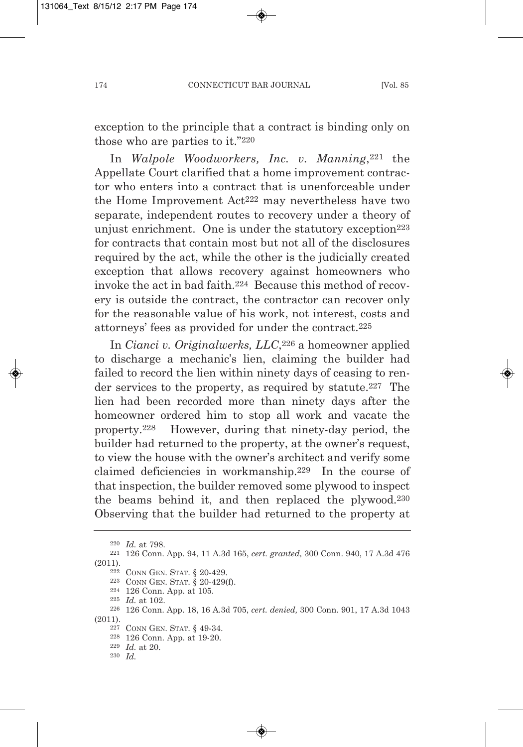exception to the principle that a contract is binding only on those who are parties to it."220

In *Walpole Woodworkers, Inc. v. Manning*,221 the Appellate Court clarified that a home improvement contractor who enters into a contract that is unenforceable under the Home Improvement Act222 may nevertheless have two separate, independent routes to recovery under a theory of unjust enrichment. One is under the statutory exception<sup>223</sup> for contracts that contain most but not all of the disclosures required by the act, while the other is the judicially created exception that allows recovery against homeowners who invoke the act in bad faith.224 Because this method of recovery is outside the contract, the contractor can recover only for the reasonable value of his work, not interest, costs and attorneys' fees as provided for under the contract.225

In *Cianci v. Originalwerks, LLC*,226 a homeowner applied to discharge a mechanic's lien, claiming the builder had failed to record the lien within ninety days of ceasing to render services to the property, as required by statute.<sup>227</sup> The lien had been recorded more than ninety days after the homeowner ordered him to stop all work and vacate the property.228 However, during that ninety-day period, the builder had returned to the property, at the owner's request, to view the house with the owner's architect and verify some claimed deficiencies in workmanship.229 In the course of that inspection, the builder removed some plywood to inspect the beams behind it, and then replaced the plywood.230 Observing that the builder had returned to the property at

<sup>220</sup> *Id.* at 798.

<sup>221</sup> 126 Conn. App. 94, 11 A.3d 165, *cert. granted,* 300 Conn. 940, 17 A.3d 476 (2011).

<sup>222</sup> CONN GEN. STAT. § 20-429.

<sup>223</sup> CONN GEN. STAT. § 20-429(f).

<sup>224</sup> 126 Conn. App. at 105.

<sup>225</sup> *Id.* at 102.

<sup>226</sup> 126 Conn. App. 18, 16 A.3d 705, *cert. denied,* 300 Conn. 901, 17 A.3d 1043 (2011).

<sup>227</sup> CONN GEN. STAT. § 49-34.

<sup>228</sup> 126 Conn. App. at 19-20.

<sup>229</sup> *Id.* at 20.

<sup>230</sup> *Id.*